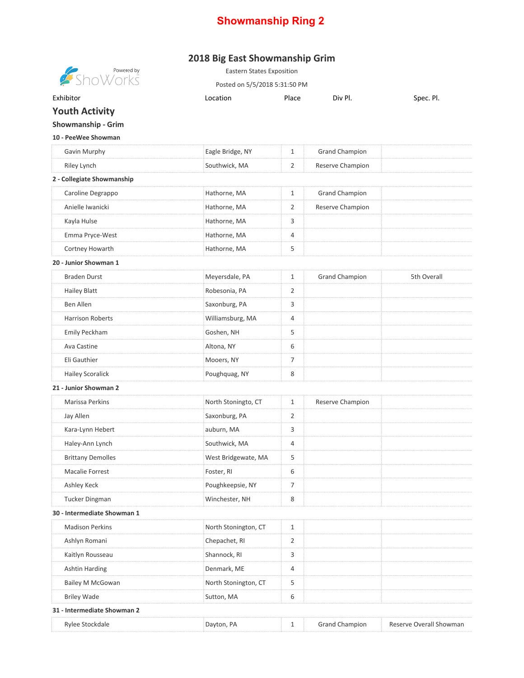## **Showmanship Ring 2**

## **2018 Big East Showmanship Grim**

| $\begin{array}{c} \text{Powered by} \\ \text{D} \text{W} \text{O} \text{P} \text{K} \text{S} \end{array}$ | <b>Eastern States Exposition</b> |                |                       |                         |
|-----------------------------------------------------------------------------------------------------------|----------------------------------|----------------|-----------------------|-------------------------|
|                                                                                                           | Posted on 5/5/2018 5:31:50 PM    |                |                       |                         |
| Exhibitor                                                                                                 | Location                         | Place          | Div Pl.               | Spec. Pl.               |
| <b>Youth Activity</b>                                                                                     |                                  |                |                       |                         |
| Showmanship - Grim                                                                                        |                                  |                |                       |                         |
| 10 - PeeWee Showman                                                                                       |                                  |                |                       |                         |
| Gavin Murphy                                                                                              | Eagle Bridge, NY                 | $\mathbf{1}$   | <b>Grand Champion</b> |                         |
| Riley Lynch                                                                                               | Southwick, MA                    | 2              | Reserve Champion      |                         |
| 2 - Collegiate Showmanship                                                                                |                                  |                |                       |                         |
| Caroline Degrappo                                                                                         | Hathorne, MA                     | $\mathbf{1}$   | Grand Champion        |                         |
| Anielle Iwanicki                                                                                          | Hathorne, MA                     | $\overline{2}$ | Reserve Champion      |                         |
| Kayla Hulse                                                                                               | Hathorne, MA                     | 3              |                       |                         |
| Emma Pryce-West                                                                                           | Hathorne, MA                     | 4              |                       |                         |
| Cortney Howarth                                                                                           | Hathorne, MA                     | 5              |                       |                         |
| 20 - Junior Showman 1                                                                                     |                                  |                |                       |                         |
| <b>Braden Durst</b>                                                                                       | Meyersdale, PA                   | $\mathbf{1}$   | <b>Grand Champion</b> | 5th Overall             |
| <b>Hailey Blatt</b>                                                                                       | Robesonia, PA                    | 2              |                       |                         |
| <b>Ben Allen</b>                                                                                          | Saxonburg, PA                    | 3              |                       |                         |
| <b>Harrison Roberts</b>                                                                                   | Williamsburg, MA                 | 4              |                       |                         |
| Emily Peckham                                                                                             | Goshen, NH                       | 5              |                       |                         |
| Ava Castine                                                                                               | Altona, NY                       | 6              |                       |                         |
| Eli Gauthier                                                                                              | Mooers, NY                       | $\overline{7}$ |                       |                         |
| <b>Hailey Scoralick</b>                                                                                   | Poughquag, NY                    | 8              |                       |                         |
| 21 - Junior Showman 2                                                                                     |                                  |                |                       |                         |
| Marissa Perkins                                                                                           | North Stoningto, CT              | $\mathbf{1}$   | Reserve Champion      |                         |
| Jay Allen                                                                                                 | Saxonburg, PA                    | 2              |                       |                         |
| Kara-Lynn Hebert                                                                                          | auburn, MA                       | 3              |                       |                         |
| Haley-Ann Lynch                                                                                           | Southwick, MA                    | $\overline{4}$ |                       |                         |
| <b>Brittany Demolles</b>                                                                                  | West Bridgewate, MA              | 5              |                       |                         |
| <b>Macalie Forrest</b>                                                                                    | Foster, RI                       | 6              |                       |                         |
| Ashley Keck                                                                                               | Poughkeepsie, NY                 | $\overline{7}$ |                       |                         |
| <b>Tucker Dingman</b>                                                                                     | Winchester, NH                   | 8              |                       |                         |
| 30 - Intermediate Showman 1                                                                               |                                  |                |                       |                         |
| <b>Madison Perkins</b>                                                                                    | North Stonington, CT             | 1              |                       |                         |
| Ashlyn Romani                                                                                             | Chepachet, RI                    | $\overline{2}$ |                       |                         |
| Kaitlyn Rousseau                                                                                          | Shannock, RI                     | 3              |                       |                         |
| <b>Ashtin Harding</b>                                                                                     | Denmark, ME                      | 4              |                       |                         |
| Bailey M McGowan                                                                                          | North Stonington, CT             | 5              |                       |                         |
| <b>Briley Wade</b>                                                                                        | Sutton, MA                       | 6              |                       |                         |
| 31 - Intermediate Showman 2                                                                               |                                  |                |                       |                         |
| Rylee Stockdale                                                                                           | Dayton, PA                       | 1              | <b>Grand Champion</b> | Reserve Overall Showman |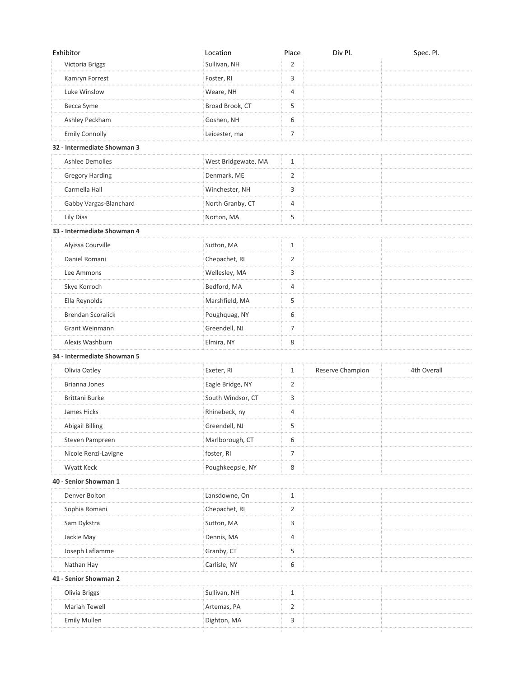| Exhibitor                   | Location            | Place          | Div Pl.          | Spec. Pl.   |
|-----------------------------|---------------------|----------------|------------------|-------------|
| Victoria Briggs             | Sullivan, NH        | $\overline{2}$ |                  |             |
| Kamryn Forrest              | Foster, RI          | 3              |                  |             |
| Luke Winslow                | Weare, NH           | $\overline{4}$ |                  |             |
| Becca Syme                  | Broad Brook, CT     | 5              |                  |             |
| Ashley Peckham              | Goshen, NH          | 6              |                  |             |
| Emily Connolly              | Leicester, ma       | 7              |                  |             |
| 32 - Intermediate Showman 3 |                     |                |                  |             |
| Ashlee Demolles             | West Bridgewate, MA | $\mathbf{1}$   |                  |             |
| <b>Gregory Harding</b>      | Denmark, ME         | 2              |                  |             |
| Carmella Hall               | Winchester, NH      | 3              |                  |             |
| Gabby Vargas-Blanchard      | North Granby, CT    | 4              |                  |             |
| Lily Dias                   | Norton, MA          | 5              |                  |             |
| 33 - Intermediate Showman 4 |                     |                |                  |             |
| Alyissa Courville           | Sutton, MA          | $\mathbf{1}$   |                  |             |
| Daniel Romani               | Chepachet, RI       | 2              |                  |             |
| Lee Ammons                  | Wellesley, MA       | 3              |                  |             |
| Skye Korroch                | Bedford, MA         | 4              |                  |             |
| Ella Reynolds               | Marshfield, MA      | 5              |                  |             |
| <b>Brendan Scoralick</b>    | Poughquag, NY       | 6              |                  |             |
| Grant Weinmann              | Greendell, NJ       | 7              |                  |             |
| Alexis Washburn             | Elmira, NY          | 8              |                  |             |
| 34 - Intermediate Showman 5 |                     |                |                  |             |
| Olivia Oatley               | Exeter, RI          | $\mathbf{1}$   | Reserve Champion | 4th Overall |
| Brianna Jones               | Eagle Bridge, NY    | 2              |                  |             |
| Brittani Burke              | South Windsor, CT   | 3              |                  |             |
| James Hicks                 | Rhinebeck, ny       | 4              |                  |             |
| Abigail Billing             | Greendell, NJ       | 5              |                  |             |
| Steven Pampreen             | Marlborough, CT     | 6              |                  |             |
| Nicole Renzi-Lavigne        | foster, RI          | 7              |                  |             |
| Wyatt Keck                  | Poughkeepsie, NY    | 8              |                  |             |
| 40 - Senior Showman 1       |                     |                |                  |             |
| Denver Bolton               | Lansdowne, On       | $\mathbf{1}$   |                  |             |
| Sophia Romani               | Chepachet, RI       | 2              |                  |             |
| Sam Dykstra                 | Sutton, MA          | 3              |                  |             |
| Jackie May                  | Dennis, MA          | 4              |                  |             |
| Joseph Laflamme             | Granby, CT          | 5              |                  |             |
| Nathan Hay                  | Carlisle, NY        | 6              |                  |             |
| 41 - Senior Showman 2       |                     |                |                  |             |
| Olivia Briggs               | Sullivan, NH        | 1              |                  |             |
| Mariah Tewell               | Artemas, PA         | 2              |                  |             |
| <b>Emily Mullen</b>         | Dighton, MA         | 3              |                  |             |